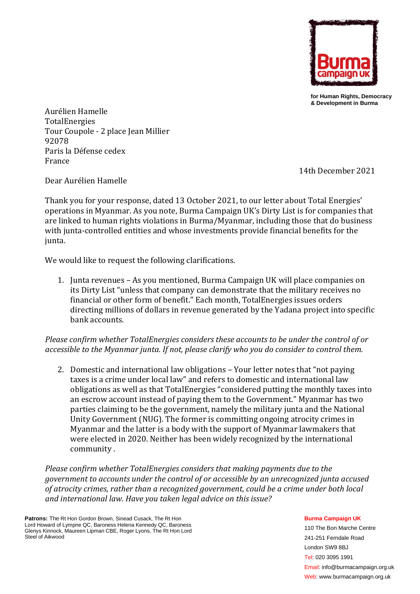

**for Human Rights, Democracy & Development in Burma**

Aurélien Hamelle TotalEnergies Tour Coupole - 2 place Jean Millier 92078 Paris la Défense cedex France

14th December 2021

Dear Aurélien Hamelle

Thank you for your response, dated 13 October 2021, to our letter about Total Energies' operations in Myanmar. As you note, Burma Campaign UK's Dirty List is for companies that are linked to human rights violations in Burma/Myanmar, including those that do business with junta-controlled entities and whose investments provide financial benefits for the junta.

We would like to request the following clarifications.

1. Junta revenues – As you mentioned, Burma Campaign UK will place companies on its Dirty List "unless that company can demonstrate that the military receives no financial or other form of benefit." Each month, TotalEnergies issues orders directing millions of dollars in revenue generated by the Yadana project into specific bank accounts.

*Please confirm whether TotalEnergies considers these accounts to be under the control of or accessible to the Myanmar junta. If not, please clarify who you do consider to control them.*

2. Domestic and international law obligations – Your letter notes that "not paying taxes is a crime under local law" and refers to domestic and international law obligations as well as that TotalEnergies "considered putting the monthly taxes into an escrow account instead of paying them to the Government." Myanmar has two parties claiming to be the government, namely the military junta and the National Unity Government (NUG). The former is committing ongoing atrocity crimes in Myanmar and the latter is a body with the support of Myanmar lawmakers that were elected in 2020. Neither has been widely recognized by the international community .

*Please confirm whether TotalEnergies considers that making payments due to the government to accounts under the control of or accessible by an unrecognized junta accused of atrocity crimes, rather than a recognized government, could be a crime under both local and international law. Have you taken legal advice on this issue?*

**Patrons:** The Rt Hon Gordon Brown, Sinead Cusack, The Rt Hon Lord Howard of Lympne QC, Baroness Helena Kennedy QC, Baroness Glenys Kinnock, Maureen Lipman CBE, Roger Lyons, The Rt Hon Lord Steel of Aikwood

**Burma Campaign UK**

110 The Bon Marche Centre 241-251 Ferndale Road London SW9 8BJ Tel: 020 3095 1991 Email: info@burmacampaign.org.uk Web: www.burmacampaign.org.uk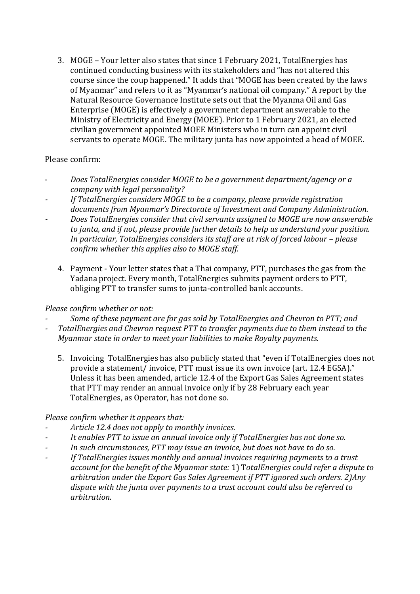3. MOGE – Your letter also states that since 1 February 2021, TotalEnergies has continued conducting business with its stakeholders and "has not altered this course since the coup happened." It adds that "MOGE has been created by the laws of Myanmar" and refers to it as "Myanmar's national oil company." A report by the Natural Resource Governance Institute sets out that the Myanma Oil and Gas Enterprise (MOGE) is effectively a government department answerable to the Ministry of Electricity and Energy (MOEE). Prior to 1 February 2021, an elected civilian government appointed MOEE Ministers who in turn can appoint civil servants to operate MOGE. The military junta has now appointed a head of MOEE.

### Please confirm:

- *Does TotalEnergies consider MOGE to be a government department/agency or a company with legal personality?*
- *- If TotalEnergies considers MOGE to be a company, please provide registration documents from Myanmar's Directorate of Investment and Company Administration.*
- *- Does TotalEnergies consider that civil servants assigned to MOGE are now answerable to junta, and if not, please provide further details to help us understand your position. In particular, TotalEnergies considers its staff are at risk of forced labour – please confirm whether this applies also to MOGE staff.* 
	- 4. Payment Your letter states that a Thai company, PTT, purchases the gas from the Yadana project. Every month, TotalEnergies submits payment orders to PTT, obliging PTT to transfer sums to junta-controlled bank accounts.

## *Please confirm whether or not:*

- *- Some of these payment are for gas sold by TotalEnergies and Chevron to PTT; and*
- *- TotalEnergies and Chevron request PTT to transfer payments due to them instead to the Myanmar state in order to meet your liabilities to make Royalty payments.* 
	- 5. Invoicing TotalEnergies has also publicly stated that "even if TotalEnergies does not provide a statement/ invoice, PTT must issue its own invoice (art. 12.4 EGSA)." Unless it has been amended, article 12.4 of the Export Gas Sales Agreement states that PTT may render an annual invoice only if by 28 February each year TotalEnergies, as Operator, has not done so.

## *Please confirm whether it appears that:*

- *- Article 12.4 does not apply to monthly invoices.*
- *- It enables PTT to issue an annual invoice only if TotalEnergies has not done so.*
- *- In such circumstances, PTT may issue an invoice, but does not have to do so.*
- *- If TotalEnergies issues monthly and annual invoices requiring payments to a trust account for the benefit of the Myanmar state:* 1) T*otalEnergies could refer a dispute to arbitration under the Export Gas Sales Agreement if PTT ignored such orders. 2)Any dispute with the junta over payments to a trust account could also be referred to arbitration.*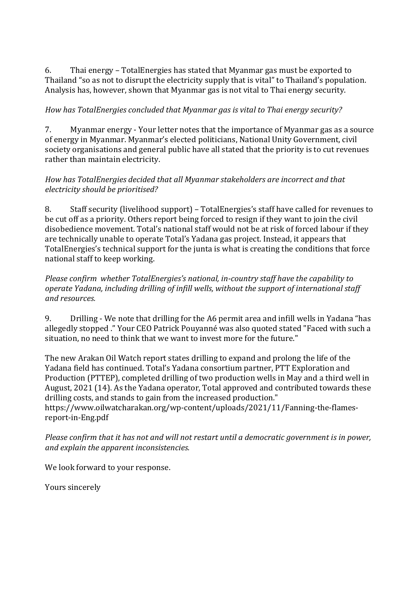6. Thai energy – TotalEnergies has stated that Myanmar gas must be exported to Thailand "so as not to disrupt the electricity supply that is vital" to Thailand's population. Analysis has, however, shown that Myanmar gas is not vital to Thai energy security.

# *How has TotalEnergies concluded that Myanmar gas is vital to Thai energy security?*

7. Myanmar energy - Your letter notes that the importance of Myanmar gas as a source of energy in Myanmar. Myanmar's elected politicians, National Unity Government, civil society organisations and general public have all stated that the priority is to cut revenues rather than maintain electricity.

### *How has TotalEnergies decided that all Myanmar stakeholders are incorrect and that electricity should be prioritised?*

8. Staff security (livelihood support) – TotalEnergies's staff have called for revenues to be cut off as a priority. Others report being forced to resign if they want to join the civil disobedience movement. Total's national staff would not be at risk of forced labour if they are technically unable to operate Total's Yadana gas project. Instead, it appears that TotalEnergies's technical support for the junta is what is creating the conditions that force national staff to keep working.

*Please confirm whether TotalEnergies's national, in-country staff have the capability to operate Yadana, including drilling of infill wells, without the support of international staff and resources.* 

9. Drilling - We note that drilling for the A6 permit area and infill wells in Yadana "has allegedly stopped ." Your CEO Patrick Pouyanné was also quoted stated "Faced with such a situation, no need to think that we want to invest more for the future."

The new Arakan Oil Watch report states drilling to expand and prolong the life of the Yadana field has continued. Total's Yadana consortium partner, PTT Exploration and Production (PTTEP), completed drilling of two production wells in May and a third well in August, 2021 (14). As the Yadana operator, Total approved and contributed towards these drilling costs, and stands to gain from the increased production." https://www.oilwatcharakan.org/wp-content/uploads/2021/11/Fanning-the-flames-

report-in-Eng.pdf

*Please confirm that it has not and will not restart until a democratic government is in power, and explain the apparent inconsistencies.*

We look forward to your response.

Yours sincerely